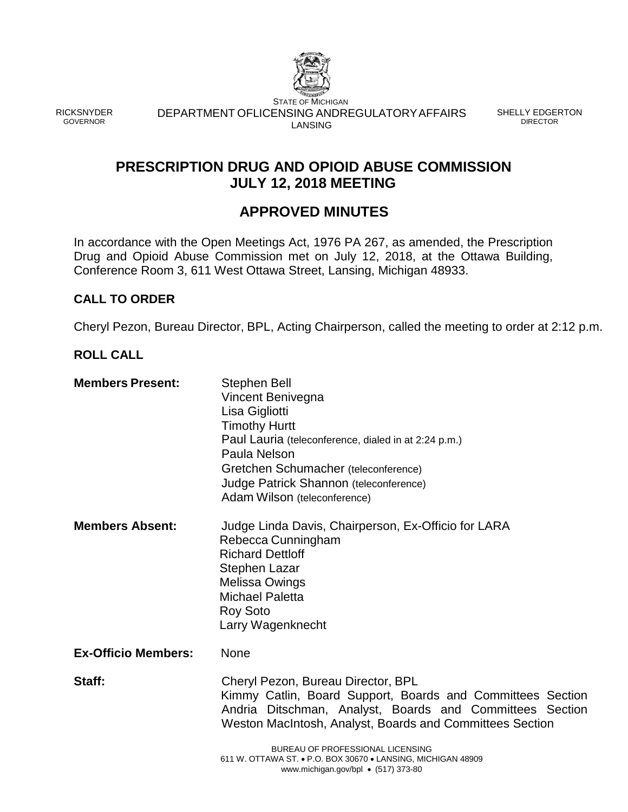

RICKSNYDER GOVERNOR

STATE OF MICHIGAN DEPARTMENT OFLICENSING ANDREGULATORYAFFAIRS SHELLY EDGERTON LANSING

DIRECTOR

# **PRESCRIPTION DRUG AND OPIOID ABUSE COMMISSION JULY 12, 2018 MEETING**

# **APPROVED MINUTES**

In accordance with the Open Meetings Act, 1976 PA 267, as amended, the Prescription Drug and Opioid Abuse Commission met on July 12, 2018, at the Ottawa Building, Conference Room 3, 611 West Ottawa Street, Lansing, Michigan 48933.

## **CALL TO ORDER**

Cheryl Pezon, Bureau Director, BPL, Acting Chairperson, called the meeting to order at 2:12 p.m.

## **ROLL CALL**

| <b>Members Present:</b>    | Stephen Bell<br>Vincent Benivegna<br>Lisa Gigliotti<br><b>Timothy Hurtt</b><br>Paul Lauria (teleconference, dialed in at 2:24 p.m.)<br>Paula Nelson<br>Gretchen Schumacher (teleconference)<br>Judge Patrick Shannon (teleconference)<br>Adam Wilson (teleconference)                                                                                                       |
|----------------------------|-----------------------------------------------------------------------------------------------------------------------------------------------------------------------------------------------------------------------------------------------------------------------------------------------------------------------------------------------------------------------------|
| <b>Members Absent:</b>     | Judge Linda Davis, Chairperson, Ex-Officio for LARA<br>Rebecca Cunningham<br><b>Richard Dettloff</b><br><b>Stephen Lazar</b><br>Melissa Owings<br><b>Michael Paletta</b><br><b>Roy Soto</b><br>Larry Wagenknecht                                                                                                                                                            |
| <b>Ex-Officio Members:</b> | <b>None</b>                                                                                                                                                                                                                                                                                                                                                                 |
| Staff:                     | Cheryl Pezon, Bureau Director, BPL<br>Kimmy Catlin, Board Support, Boards and Committees Section<br>Andria Ditschman, Analyst, Boards and Committees Section<br>Weston MacIntosh, Analyst, Boards and Committees Section<br>BUREAU OF PROFESSIONAL LICENSING<br>611 W. OTTAWA ST. • P.O. BOX 30670 • LANSING, MICHIGAN 48909<br>www.michigan.gov/bpl $\bullet$ (517) 373-80 |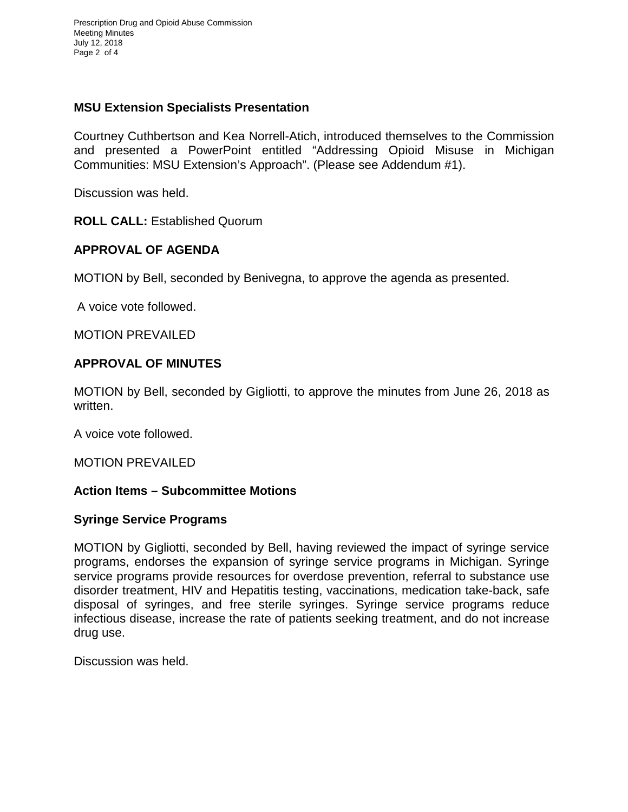Prescription Drug and Opioid Abuse Commission Meeting Minutes July 12, 2018 Page 2 of 4

## **MSU Extension Specialists Presentation**

Courtney Cuthbertson and Kea Norrell-Atich, introduced themselves to the Commission and presented a PowerPoint entitled "Addressing Opioid Misuse in Michigan Communities: MSU Extension's Approach". (Please see Addendum #1).

Discussion was held.

**ROLL CALL:** Established Quorum

## **APPROVAL OF AGENDA**

MOTION by Bell, seconded by Benivegna, to approve the agenda as presented.

A voice vote followed.

MOTION PREVAILED

#### **APPROVAL OF MINUTES**

MOTION by Bell, seconded by Gigliotti, to approve the minutes from June 26, 2018 as written.

A voice vote followed.

MOTION PREVAILED

#### **Action Items – Subcommittee Motions**

#### **Syringe Service Programs**

MOTION by Gigliotti, seconded by Bell, having reviewed the impact of syringe service programs, endorses the expansion of syringe service programs in Michigan. Syringe service programs provide resources for overdose prevention, referral to substance use disorder treatment, HIV and Hepatitis testing, vaccinations, medication take-back, safe disposal of syringes, and free sterile syringes. Syringe service programs reduce infectious disease, increase the rate of patients seeking treatment, and do not increase drug use.

Discussion was held.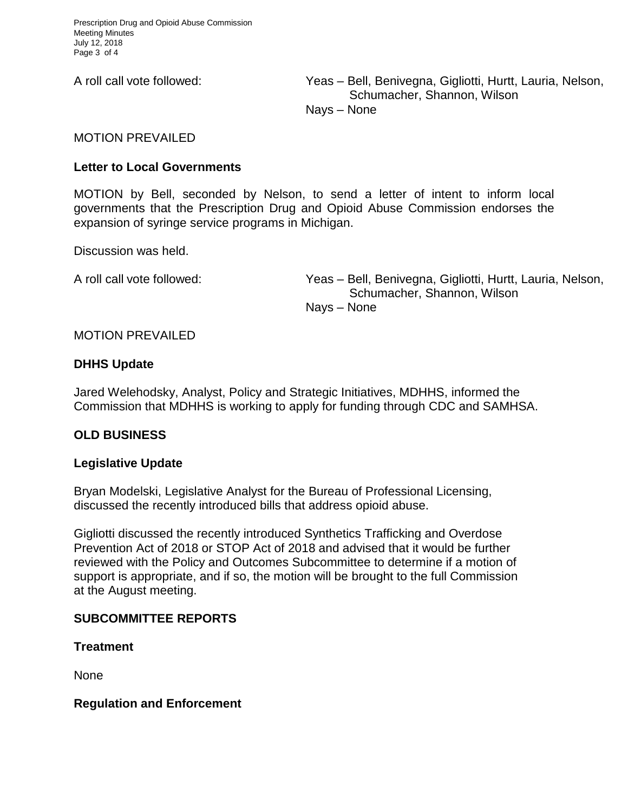A roll call vote followed: Yeas – Bell, Benivegna, Gigliotti, Hurtt, Lauria, Nelson, Schumacher, Shannon, Wilson Nays – None

MOTION PREVAILED

## **Letter to Local Governments**

MOTION by Bell, seconded by Nelson, to send a letter of intent to inform local governments that the Prescription Drug and Opioid Abuse Commission endorses the expansion of syringe service programs in Michigan.

Discussion was held.

A roll call vote followed: Yeas – Bell, Benivegna, Gigliotti, Hurtt, Lauria, Nelson, Schumacher, Shannon, Wilson Nays – None

## MOTION PREVAILED

## **DHHS Update**

Jared Welehodsky, Analyst, Policy and Strategic Initiatives, MDHHS, informed the Commission that MDHHS is working to apply for funding through CDC and SAMHSA.

## **OLD BUSINESS**

## **Legislative Update**

Bryan Modelski, Legislative Analyst for the Bureau of Professional Licensing, discussed the recently introduced bills that address opioid abuse.

Gigliotti discussed the recently introduced Synthetics Trafficking and Overdose Prevention Act of 2018 or STOP Act of 2018 and advised that it would be further reviewed with the Policy and Outcomes Subcommittee to determine if a motion of support is appropriate, and if so, the motion will be brought to the full Commission at the August meeting.

## **SUBCOMMITTEE REPORTS**

**Treatment**

None

#### **Regulation and Enforcement**